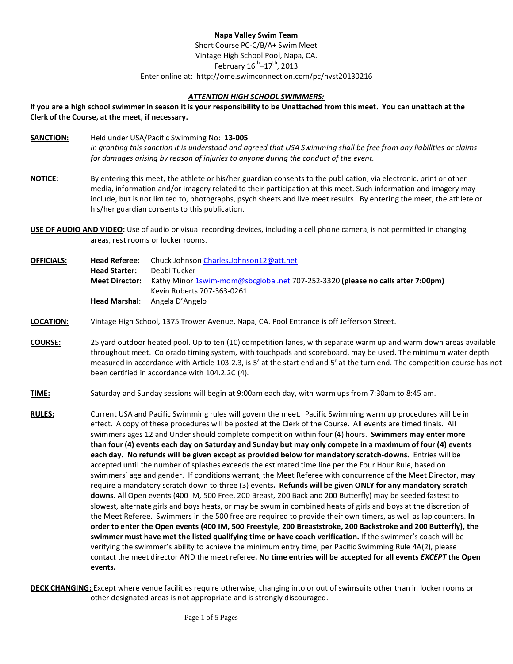# **Napa Valley Swim Team**

Short Course PC-C/B/A+ Swim Meet Vintage High School Pool, Napa, CA. February  $16^{th}$ – $17^{th}$ , 2013 Enter online at: http://ome.swimconnection.com/pc/nvst20130216

## *ATTENTION HIGH SCHOOL SWIMMERS:*

**If you are a high school swimmer in season it is your responsibility to be Unattached from this meet. You can unattach at the Clerk of the Course, at the meet, if necessary.**

- **SANCTION:** Held under USA/Pacific Swimming No: **13-005** *In granting this sanction it is understood and agreed that USA Swimming shall be free from any liabilities or claims for damages arising by reason of injuries to anyone during the conduct of the event.*
- **NOTICE:** By entering this meet, the athlete or his/her guardian consents to the publication, via electronic, print or other media, information and/or imagery related to their participation at this meet. Such information and imagery may include, but is not limited to, photographs, psych sheets and live meet results. By entering the meet, the athlete or his/her guardian consents to this publication.
- **USE OF AUDIO AND VIDEO:** Use of audio or visual recording devices, including a cell phone camera, is not permitted in changing areas, rest rooms or locker rooms.

**OFFICIALS: Head Referee:** Chuck Johnson [Charles.Johnson12@att.net](mailto:Charles.Johnson12@att.net) **Head Starter:** Debbi Tucker **Meet Director:** Kathy Minor [1swim-mom@sbcglobal.net](mailto:1swim-mom@sbcglobal.net) 707-252-3320 **(please no calls after 7:00pm)** Kevin Roberts 707-363-0261 **Head Marshal**: Angela D'Angelo

## **LOCATION:** Vintage High School, 1375 Trower Avenue, Napa, CA. Pool Entrance is off Jefferson Street.

- **COURSE:** 25 yard outdoor heated pool. Up to ten (10) competition lanes, with separate warm up and warm down areas available throughout meet. Colorado timing system, with touchpads and scoreboard, may be used. The minimum water depth measured in accordance with Article 103.2.3, is 5' at the start end and 5' at the turn end. The competition course has not been certified in accordance with 104.2.2C (4).
- **TIME:** Saturday and Sunday sessions will begin at 9:00am each day, with warm ups from 7:30am to 8:45 am.
- **RULES:** Current USA and Pacific Swimming rules will govern the meet. Pacific Swimming warm up procedures will be in effect. A copy of these procedures will be posted at the Clerk of the Course. All events are timed finals. All swimmers ages 12 and Under should complete competition within four (4) hours. **Swimmers may enter more than four (4) events each day on Saturday and Sunday but may only compete in a maximum of four (4) events each day. No refunds will be given except as provided below for mandatory scratch-downs.** Entries will be accepted until the number of splashes exceeds the estimated time line per the Four Hour Rule, based on swimmers' age and gender. If conditions warrant, the Meet Referee with concurrence of the Meet Director, may require a mandatory scratch down to three (3) events**. Refunds will be given ONLY for any mandatory scratch downs**. All Open events (400 IM, 500 Free, 200 Breast, 200 Back and 200 Butterfly) may be seeded fastest to slowest, alternate girls and boys heats, or may be swum in combined heats of girls and boys at the discretion of the Meet Referee. Swimmers in the 500 free are required to provide their own timers, as well as lap counters. **In order to enter the Open events (400 IM, 500 Freestyle, 200 Breaststroke, 200 Backstroke and 200 Butterfly), the swimmer must have met the listed qualifying time or have coach verification.** If the swimmer's coach will be verifying the swimmer's ability to achieve the minimum entry time, per Pacific Swimming Rule 4A(2), please contact the meet director AND the meet referee**. No time entries will be accepted for all events** *EXCEPT* **the Open events.**
- **DECK CHANGING:** Except where venue facilities require otherwise, changing into or out of swimsuits other than in locker rooms or other designated areas is not appropriate and is strongly discouraged.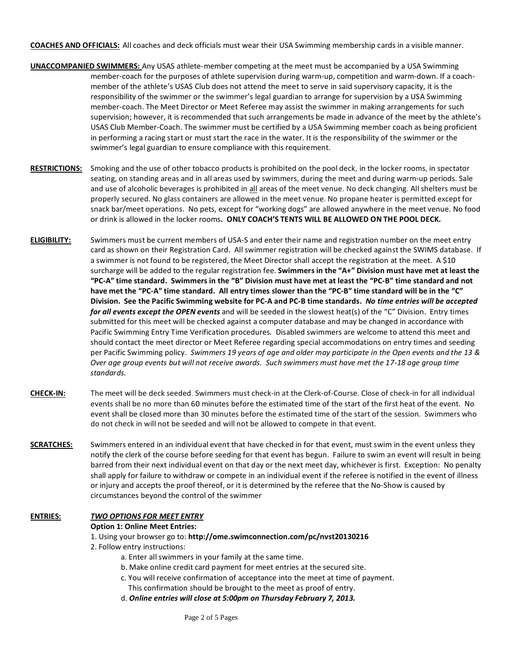**COACHES AND OFFICIALS:** All coaches and deck officials must wear their USA Swimming membership cards in a visible manner.

- **UNACCOMPANIED SWIMMERS:** Any USAS athlete-member competing at the meet must be accompanied by a USA Swimming member-coach for the purposes of athlete supervision during warm-up, competition and warm-down. If a coachmember of the athlete's USAS Club does not attend the meet to serve in said supervisory capacity, it is the responsibility of the swimmer or the swimmer's legal guardian to arrange for supervision by a USA Swimming member-coach. The Meet Director or Meet Referee may assist the swimmer in making arrangements for such supervision; however, it is recommended that such arrangements be made in advance of the meet by the athlete's USAS Club Member-Coach. The swimmer must be certified by a USA Swimming member coach as being proficient in performing a racing start or must start the race in the water. It is the responsibility of the swimmer or the swimmer's legal guardian to ensure compliance with this requirement.
- **RESTRICTIONS:** Smoking and the use of other tobacco products is prohibited on the pool deck, in the locker rooms, in spectator seating, on standing areas and in all areas used by swimmers, during the meet and during warm-up periods. Sale and use of alcoholic beverages is prohibited in all areas of the meet venue. No deck changing. All shelters must be properly secured. No glass containers are allowed in the meet venue. No propane heater is permitted except for snack bar/meet operations. No pets, except for "working dogs" are allowed anywhere in the meet venue. No food or drink is allowed in the locker rooms**. ONLY COACH'S TENTS WILL BE ALLOWED ON THE POOL DECK.**
- **ELIGIBILITY:** Swimmers must be current members of USA-S and enter their name and registration number on the meet entry card as shown on their Registration Card. All swimmer registration will be checked against the SWIMS database. If a swimmer is not found to be registered, the Meet Director shall accept the registration at the meet. A \$10 surcharge will be added to the regular registration fee. **Swimmers in the "A+" Division must have met at least the "PC-A" time standard. Swimmers in the "B" Division must have met at least the "PC-B" time standard and not have met the "PC-A" time standard. All entry times slower than the "PC-B" time standard will be in the "C" Division. See the Pacific Swimming website for PC-A and PC-B time standards.** *No time entries will be accepted for all events except the OPEN events* and will be seeded in the slowest heat(s) of the "C" Division. Entry times submitted for this meet will be checked against a computer database and may be changed in accordance with Pacific Swimming Entry Time Verification procedures*.* Disabled swimmers are welcome to attend this meet and should contact the meet director or Meet Referee regarding special accommodations on entry times and seeding per Pacific Swimming policy. *Swimmers 19 years of age and older may participate in the Open events and the 13 & Over age group events but will not receive awards. Such swimmers must have met the 17-18 age group time standards.*
- **CHECK-IN:** The meet will be deck seeded. Swimmers must check-in at the Clerk-of-Course. Close of check-in for all individual events shall be no more than 60 minutes before the estimated time of the start of the first heat of the event. No event shall be closed more than 30 minutes before the estimated time of the start of the session. Swimmers who do not check in will not be seeded and will not be allowed to compete in that event.
- **SCRATCHES:** Swimmers entered in an individual event that have checked in for that event, must swim in the event unless they notify the clerk of the course before seeding for that event has begun. Failure to swim an event will result in being barred from their next individual event on that day or the next meet day, whichever is first. Exception: No penalty shall apply for failure to withdraw or compete in an individual event if the referee is notified in the event of illness or injury and accepts the proof thereof, or it is determined by the referee that the No-Show is caused by circumstances beyond the control of the swimmer

# **ENTRIES:** *TWO OPTIONS FOR MEET ENTRY*

#### **Option 1: Online Meet Entries:**

#### 1. Using your browser go to: **http://ome.swimconnection.com/pc/nvst20130216**

- 2. Follow entry instructions:
	- a. Enter all swimmers in your family at the same time.
	- b. Make online credit card payment for meet entries at the secured site.
	- c. You will receive confirmation of acceptance into the meet at time of payment. This confirmation should be brought to the meet as proof of entry.
	- d. *Online entries will close at 5:00pm on Thursday February 7, 2013.*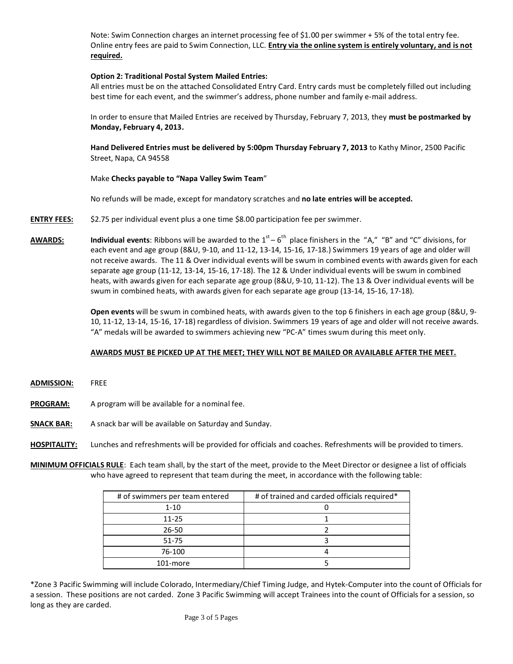Note: Swim Connection charges an internet processing fee of \$1.00 per swimmer + 5% of the total entry fee. Online entry fees are paid to Swim Connection, LLC. **Entry via the online system is entirely voluntary, and is not required.**

## **Option 2: Traditional Postal System Mailed Entries:**

All entries must be on the attached Consolidated Entry Card. Entry cards must be completely filled out including best time for each event, and the swimmer's address, phone number and family e-mail address.

In order to ensure that Mailed Entries are received by Thursday, February 7, 2013, they **must be postmarked by Monday, February 4, 2013.**

**Hand Delivered Entries must be delivered by 5:00pm Thursday February 7, 2013** to Kathy Minor, 2500 Pacific Street, Napa, CA 94558

## Make **Checks payable to "Napa Valley Swim Team**"

No refunds will be made, except for mandatory scratches and **no late entries will be accepted.**

- **ENTRY FEES:** \$2.75 per individual event plus a one time \$8.00 participation fee per swimmer.
- **AWARDS: Individual events**: Ribbons will be awarded to the  $1^{st} 6^{th}$  place finishers in the "A," "B" and "C" divisions, for each event and age group (8&U, 9-10, and 11-12, 13-14, 15-16, 17-18.) Swimmers 19 years of age and older will not receive awards. The 11 & Over individual events will be swum in combined events with awards given for each separate age group (11-12, 13-14, 15-16, 17-18). The 12 & Under individual events will be swum in combined heats, with awards given for each separate age group (8&U, 9-10, 11-12). The 13 & Over individual events will be swum in combined heats, with awards given for each separate age group (13-14, 15-16, 17-18).

**Open events** will be swum in combined heats, with awards given to the top 6 finishers in each age group (8&U, 9- 10, 11-12, 13-14, 15-16, 17-18) regardless of division. Swimmers 19 years of age and older will not receive awards. "A" medals will be awarded to swimmers achieving new "PC-A" times swum during this meet only.

# **AWARDS MUST BE PICKED UP AT THE MEET; THEY WILL NOT BE MAILED OR AVAILABLE AFTER THE MEET.**

- **ADMISSION:** FREE
- **PROGRAM:** A program will be available for a nominal fee.
- **SNACK BAR:** A snack bar will be available on Saturday and Sunday.
- **HOSPITALITY:** Lunches and refreshments will be provided for officials and coaches. Refreshments will be provided to timers.

**MINIMUM OFFICIALS RULE**: Each team shall, by the start of the meet, provide to the Meet Director or designee a list of officials who have agreed to represent that team during the meet, in accordance with the following table:

| # of swimmers per team entered | # of trained and carded officials required* |  |  |  |  |  |
|--------------------------------|---------------------------------------------|--|--|--|--|--|
| $1 - 10$                       |                                             |  |  |  |  |  |
| $11 - 25$                      |                                             |  |  |  |  |  |
| $26 - 50$                      |                                             |  |  |  |  |  |
| $51 - 75$                      |                                             |  |  |  |  |  |
| 76-100                         |                                             |  |  |  |  |  |
| 101-more                       |                                             |  |  |  |  |  |

\*Zone 3 Pacific Swimming will include Colorado, Intermediary/Chief Timing Judge, and Hytek-Computer into the count of Officials for a session. These positions are not carded. Zone 3 Pacific Swimming will accept Trainees into the count of Officials for a session, so long as they are carded.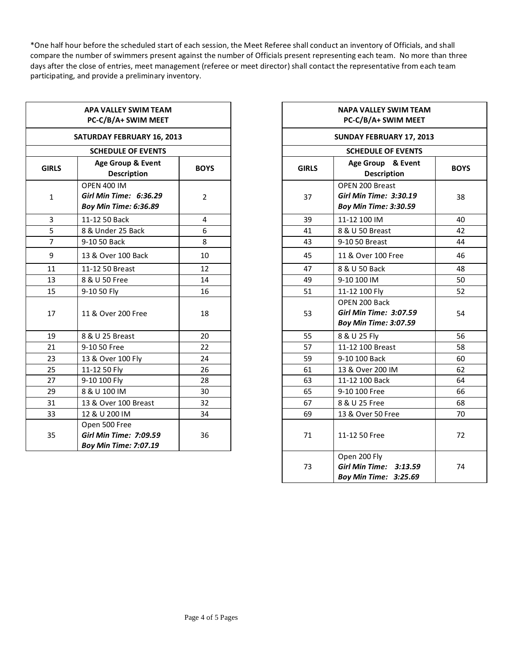\*One half hour before the scheduled start of each session, the Meet Referee shall conduct an inventory of Officials, and shall compare the number of swimmers present against the number of Officials present representing each team. No more than three days after the close of entries, meet management (referee or meet director) shall contact the representative from each team participating, and provide a preliminary inventory.

| APA VALLEY SWIM TEAM<br>PC-C/B/A+ SWIM MEET |                                                                                |                |    | <b>NAPA VALLEY SWIM TEAM</b><br>PC-C/B/A+ SWIM MEET                              |           |  |  |  |  |  |
|---------------------------------------------|--------------------------------------------------------------------------------|----------------|----|----------------------------------------------------------------------------------|-----------|--|--|--|--|--|
|                                             | <b>SATURDAY FEBRUARY 16, 2013</b>                                              |                |    | SUNDAY FEBRUARY 17, 2013                                                         |           |  |  |  |  |  |
|                                             | <b>SCHEDULE OF EVENTS</b>                                                      |                |    | <b>SCHEDULE OF EVENTS</b>                                                        |           |  |  |  |  |  |
| <b>GIRLS</b>                                | Age Group & Event<br><b>GIRLS</b><br><b>BOYS</b><br><b>Description</b>         |                |    | Age Group & Event<br><b>Description</b>                                          | <b>BO</b> |  |  |  |  |  |
| $\mathbf{1}$                                | <b>OPEN 400 IM</b><br>Girl Min Time: 6:36.29<br><b>Boy Min Time: 6:36.89</b>   | $\overline{2}$ | 37 | OPEN 200 Breast<br><b>Girl Min Time: 3:30.19</b><br><b>Boy Min Time: 3:30.59</b> | 38        |  |  |  |  |  |
| 3                                           | 11-12 50 Back                                                                  | 4              | 39 | 11-12 100 IM                                                                     | 40        |  |  |  |  |  |
| 5                                           | 8 & Under 25 Back                                                              | 6              | 41 | 8 & U 50 Breast                                                                  | 42        |  |  |  |  |  |
| $\overline{7}$                              | 9-10 50 Back                                                                   | 8              | 43 | 9-10 50 Breast                                                                   | 44        |  |  |  |  |  |
| 9                                           | 13 & Over 100 Back                                                             | 10             | 45 | 11 & Over 100 Free                                                               | 46        |  |  |  |  |  |
| 11                                          | 11-12 50 Breast                                                                | 12             | 47 | 8 & U 50 Back                                                                    | 48        |  |  |  |  |  |
| 13                                          | 8 & U 50 Free                                                                  | 14             | 49 | 9-10 100 IM                                                                      | 50        |  |  |  |  |  |
| 15                                          | 9-10 50 Fly                                                                    | 16             | 51 | 11-12 100 Fly                                                                    | 52        |  |  |  |  |  |
| 17                                          | 11 & Over 200 Free                                                             | 18             | 53 | OPEN 200 Back<br><b>Girl Min Time: 3:07.59</b><br><b>Boy Min Time: 3:07.59</b>   | 54        |  |  |  |  |  |
| 19                                          | 8 & U 25 Breast                                                                | 20             | 55 | 8 & U 25 Fly                                                                     | 56        |  |  |  |  |  |
| 21                                          | 9-10 50 Free                                                                   | 22             | 57 | 11-12 100 Breast                                                                 | 58        |  |  |  |  |  |
| 23                                          | 13 & Over 100 Fly                                                              | 24             | 59 | 9-10 100 Back                                                                    | <b>60</b> |  |  |  |  |  |
| 25                                          | 11-12 50 Fly                                                                   | 26             | 61 | 13 & Over 200 IM                                                                 | 62        |  |  |  |  |  |
| 27                                          | 9-10 100 Fly                                                                   | 28             | 63 | 11-12 100 Back                                                                   | 64        |  |  |  |  |  |
| 29                                          | 8 & U 100 IM                                                                   | 30             | 65 | 9-10 100 Free                                                                    | 66        |  |  |  |  |  |
| 31                                          | 13 & Over 100 Breast                                                           | 32             | 67 | 8 & U 25 Free                                                                    | 68        |  |  |  |  |  |
| 33                                          | 12 & U 200 IM                                                                  | 34             | 69 | 13 & Over 50 Free                                                                | 70        |  |  |  |  |  |
| 35                                          | Open 500 Free<br><b>Girl Min Time: 7:09.59</b><br><b>Boy Min Time: 7:07.19</b> | 36             | 71 | 11-12 50 Free                                                                    | 72        |  |  |  |  |  |
|                                             |                                                                                |                |    |                                                                                  |           |  |  |  |  |  |

| <b>ALLEY SWIM TEAM</b><br><b>B/A+ SWIM MEET</b> |                | NAPA VALLEY SWIM TEAM<br>PC-C/B/A+ SWIM MEET |                                                                                  |    |  |  |
|-------------------------------------------------|----------------|----------------------------------------------|----------------------------------------------------------------------------------|----|--|--|
| Y FEBRUARY 16, 2013                             |                |                                              | <b>SUNDAY FEBRUARY 17, 2013</b>                                                  |    |  |  |
| <b>DULE OF EVENTS</b>                           |                |                                              | <b>SCHEDULE OF EVENTS</b>                                                        |    |  |  |
| Group & Event<br><b>Description</b>             | <b>BOYS</b>    | <b>GIRLS</b>                                 | Age Group & Event<br><b>Description</b>                                          |    |  |  |
| MI 00<br>Time: 6:36.29<br>1 Time: 6:36.89       | $\overline{2}$ | 37                                           | OPEN 200 Breast<br><b>Girl Min Time: 3:30.19</b><br><b>Boy Min Time: 3:30.59</b> | 38 |  |  |
| 0 Back                                          | 4              | 39                                           | 11-12 100 IM                                                                     | 40 |  |  |
| ler 25 Back                                     | 6              | 41                                           | 8 & U 50 Breast                                                                  | 42 |  |  |
| <b>Back</b>                                     | 8              | 43                                           | 9-10 50 Breast                                                                   | 44 |  |  |
| er 100 Back                                     | 10             | 45                                           | 11 & Over 100 Free                                                               | 46 |  |  |
| 0 Breast                                        | 12             | 47                                           | 8 & U 50 Back                                                                    | 48 |  |  |
| ) Free                                          | 14             | 49                                           | 9-10 100 IM                                                                      | 50 |  |  |
| Fly                                             | 16             | 51                                           | 11-12 100 Fly                                                                    | 52 |  |  |
| er 200 Free                                     | 18             | 53                                           | OPEN 200 Back<br><b>Girl Min Time: 3:07.59</b><br><b>Boy Min Time: 3:07.59</b>   | 54 |  |  |
| 5 Breast                                        | 20             | 55                                           | 8 & U 25 Fly                                                                     | 56 |  |  |
| Free                                            | 22             | 57                                           | 11-12 100 Breast                                                                 | 58 |  |  |
| er 100 Fly                                      | 24             | 59                                           | 9-10 100 Back                                                                    | 60 |  |  |
| 0 Fly                                           | 26             | 61                                           | 13 & Over 200 IM                                                                 | 62 |  |  |
| 0 Fly                                           | 28             | 63                                           | 11-12 100 Back                                                                   | 64 |  |  |
| MI 00                                           | 30             | 65                                           | 9-10 100 Free                                                                    | 66 |  |  |
| er 100 Breast                                   | 32             | 67                                           | 8 & U 25 Free                                                                    | 68 |  |  |
| 200 IM                                          | 34             | 69                                           | 13 & Over 50 Free                                                                | 70 |  |  |
| 00 Free<br>Time: 7:09.59<br>1 Time: 7:07.19     | 36             | 71                                           | 11-12 50 Free                                                                    | 72 |  |  |
|                                                 |                | 73                                           | Open 200 Fly<br>Girl Min Time: 3:13.59<br>Boy Min Time: 3:25.69                  | 74 |  |  |